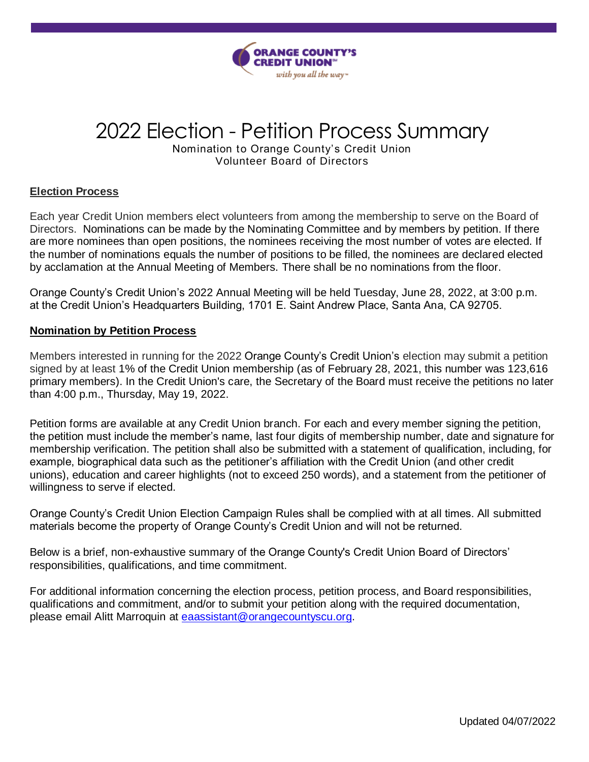

# 2022 Election - Petition Process Summary

Nomination to Orange County's Credit Union Volunteer Board of Directors

## **Election Process**

 Each year Credit Union members elect volunteers from among the membership to serve on the Board of Directors. Nominations can be made by the Nominating Committee and by members by petition. If there are more nominees than open positions, the nominees receiving the most number of votes are elected. If the number of nominations equals the number of positions to be filled, the nominees are declared elected by acclamation at the Annual Meeting of Members. There shall be no nominations from the floor.

 Orange County's Credit Union's 2022 Annual Meeting will be held Tuesday, June 28, 2022, at 3:00 p.m. at the Credit Union's Headquarters Building, 1701 E. Saint Andrew Place, Santa Ana, CA 92705.

### **Nomination by Petition Process**

 Members interested in running for the 2022 Orange County's Credit Union's election may submit a petition signed by at least 1% of the Credit Union membership (as of February 28, 2021, this number was 123,616 primary members). In the Credit Union's care, the Secretary of the Board must receive the petitions no later than 4:00 p.m., Thursday, May 19, 2022.

 Petition forms are available at any Credit Union branch. For each and every member signing the petition, the petition must include the member's name, last four digits of membership number, date and signature for membership verification. The petition shall also be submitted with a statement of qualification, including, for example, biographical data such as the petitioner's affiliation with the Credit Union (and other credit unions), education and career highlights (not to exceed 250 words), and a statement from the petitioner of willingness to serve if elected.

 Orange County's Credit Union Election Campaign Rules shall be complied with at all times. All submitted materials become the property of Orange County's Credit Union and will not be returned.

 Below is a brief, non-exhaustive summary of the Orange County's Credit Union Board of Directors' responsibilities, qualifications, and time commitment.

 For additional information concerning the election process, petition process, and Board responsibilities, qualifications and commitment, and/or to submit your petition along with the required documentation, please email Alitt Marroquin at **[eaassistant@orangecountyscu.org.](mailto:eaassistant@orangecountyscu.org)**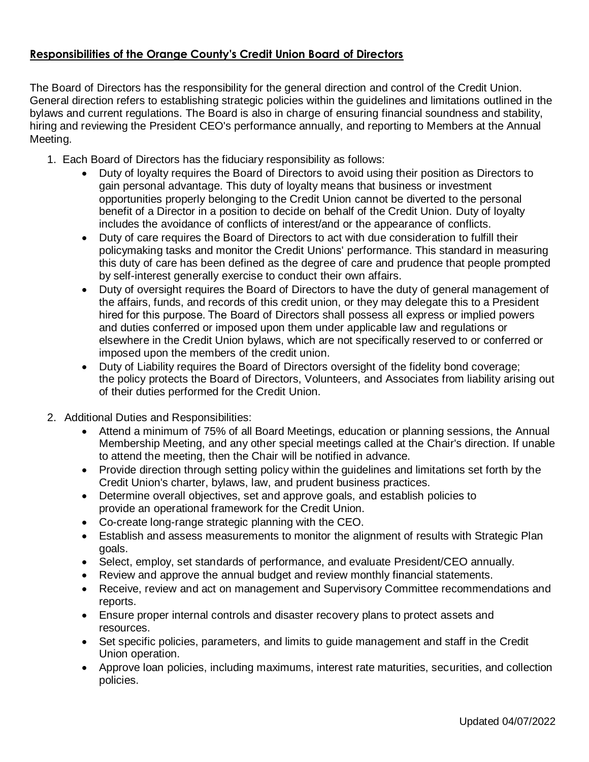# **Responsibilities of the Orange County's Credit Union Board of Directors**

 The Board of Directors has the responsibility for the general direction and control of the Credit Union. General direction refers to establishing strategic policies within the guidelines and limitations outlined in the bylaws and current regulations. The Board is also in charge of ensuring financial soundness and stability, hiring and reviewing the President CEO's performance annually, and reporting to Members at the Annual Meeting.

- 1. Each Board of Directors has the fiduciary responsibility as follows:
	- Duty of loyalty requires the Board of Directors to avoid using their position as Directors to gain personal advantage. This duty of loyalty means that business or investment opportunities properly belonging to the Credit Union cannot be diverted to the personal benefit of a Director in a position to decide on behalf of the Credit Union. Duty of loyalty includes the avoidance of conflicts of interest/and or the appearance of conflicts.
	- Duty of care requires the Board of Directors to act with due consideration to fulfill their policymaking tasks and monitor the Credit Unions' performance. This standard in measuring this duty of care has been defined as the degree of care and prudence that people prompted by self-interest generally exercise to conduct their own affairs.
	- Duty of oversight requires the Board of Directors to have the duty of general management of the affairs, funds, and records of this credit union, or they may delegate this to a President hired for this purpose. The Board of Directors shall possess all express or implied powers and duties conferred or imposed upon them under applicable law and regulations or elsewhere in the Credit Union bylaws, which are not specifically reserved to or conferred or imposed upon the members of the credit union.
	- Duty of Liability requires the Board of Directors oversight of the fidelity bond coverage; the policy protects the Board of Directors, Volunteers, and Associates from liability arising out of their duties performed for the Credit Union.
- 2. Additional Duties and Responsibilities:
	- Attend a minimum of 75% of all Board Meetings, education or planning sessions, the Annual Membership Meeting, and any other special meetings called at the Chair's direction. If unable to attend the meeting, then the Chair will be notified in advance.
	- Provide direction through setting policy within the guidelines and limitations set forth by the Credit Union's charter, bylaws, law, and prudent business practices.
	- Determine overall objectives, set and approve goals, and establish policies to provide an operational framework for the Credit Union.
	- Co-create long-range strategic planning with the CEO.
	- Establish and assess measurements to monitor the alignment of results with Strategic Plan goals.
	- Select, employ, set standards of performance, and evaluate President/CEO annually.
	- Review and approve the annual budget and review monthly financial statements.
	- Receive, review and act on management and Supervisory Committee recommendations and reports.
	- Ensure proper internal controls and disaster recovery plans to protect assets and resources.
	- Set specific policies, parameters, and limits to guide management and staff in the Credit Union operation.
	- Approve loan policies, including maximums, interest rate maturities, securities, and collection policies. policies.<br>
	Updated 04/07/2022<br>
	Updated 04/07/2022